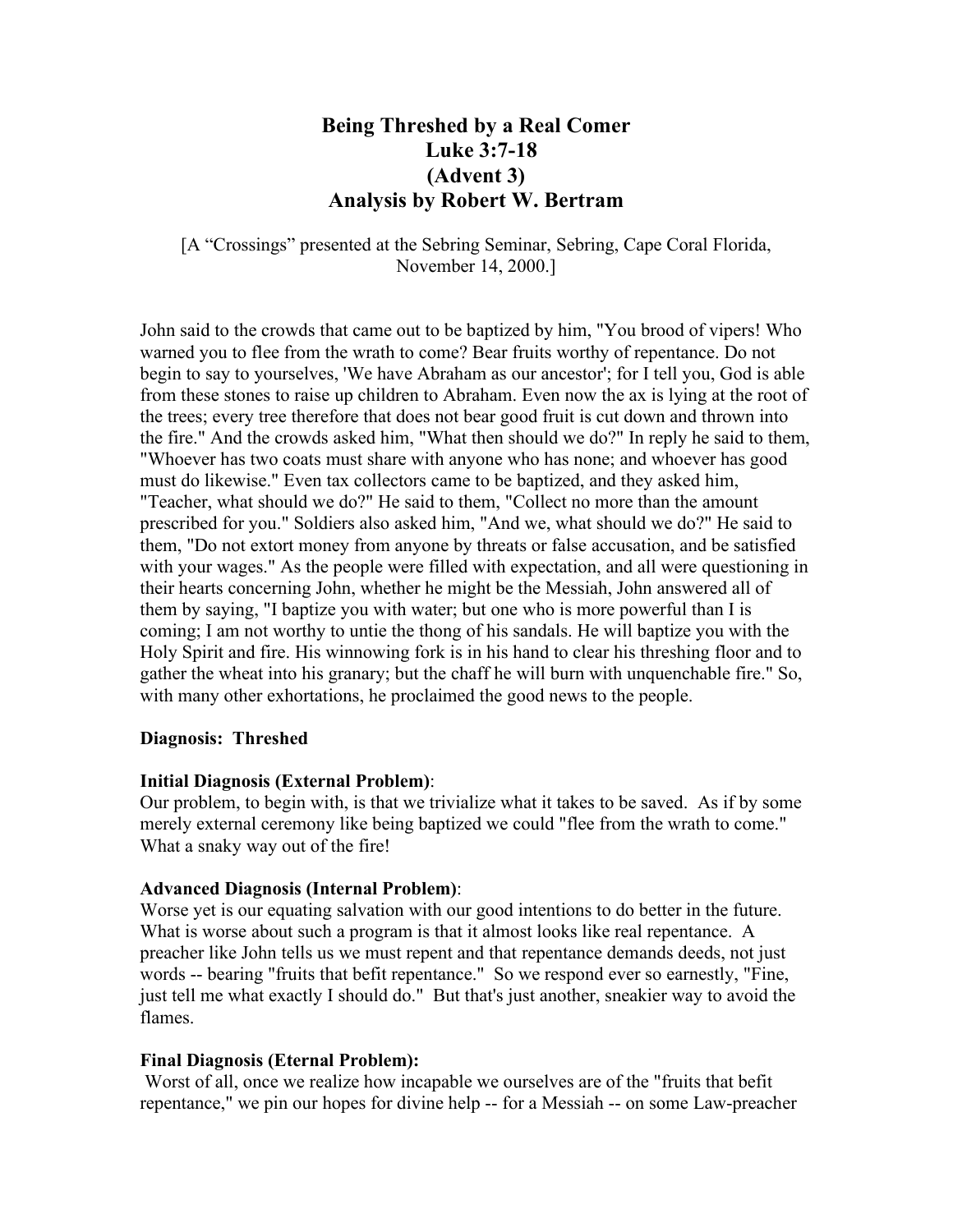# **Being Threshed by a Real Comer Luke 3:7-18 (Advent 3) Analysis by Robert W. Bertram**

[A "Crossings" presented at the Sebring Seminar, Sebring, Cape Coral Florida, November 14, 2000.]

John said to the crowds that came out to be baptized by him, "You brood of vipers! Who warned you to flee from the wrath to come? Bear fruits worthy of repentance. Do not begin to say to yourselves, 'We have Abraham as our ancestor'; for I tell you, God is able from these stones to raise up children to Abraham. Even now the ax is lying at the root of the trees; every tree therefore that does not bear good fruit is cut down and thrown into the fire." And the crowds asked him, "What then should we do?" In reply he said to them, "Whoever has two coats must share with anyone who has none; and whoever has good must do likewise." Even tax collectors came to be baptized, and they asked him, "Teacher, what should we do?" He said to them, "Collect no more than the amount prescribed for you." Soldiers also asked him, "And we, what should we do?" He said to them, "Do not extort money from anyone by threats or false accusation, and be satisfied with your wages." As the people were filled with expectation, and all were questioning in their hearts concerning John, whether he might be the Messiah, John answered all of them by saying, "I baptize you with water; but one who is more powerful than I is coming; I am not worthy to untie the thong of his sandals. He will baptize you with the Holy Spirit and fire. His winnowing fork is in his hand to clear his threshing floor and to gather the wheat into his granary; but the chaff he will burn with unquenchable fire." So, with many other exhortations, he proclaimed the good news to the people.

### **Diagnosis: Threshed**

#### **Initial Diagnosis (External Problem)**:

Our problem, to begin with, is that we trivialize what it takes to be saved. As if by some merely external ceremony like being baptized we could "flee from the wrath to come." What a snaky way out of the fire!

### **Advanced Diagnosis (Internal Problem)**:

Worse yet is our equating salvation with our good intentions to do better in the future. What is worse about such a program is that it almost looks like real repentance. A preacher like John tells us we must repent and that repentance demands deeds, not just words -- bearing "fruits that befit repentance." So we respond ever so earnestly, "Fine, just tell me what exactly I should do." But that's just another, sneakier way to avoid the flames.

### **Final Diagnosis (Eternal Problem):**

 Worst of all, once we realize how incapable we ourselves are of the "fruits that befit repentance," we pin our hopes for divine help -- for a Messiah -- on some Law-preacher